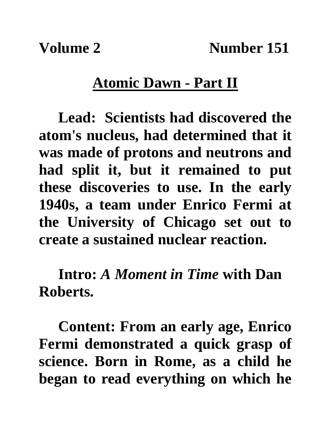**Volume 2** Number 151

## **Atomic Dawn - Part II**

**Lead: Scientists had discovered the atom's nucleus, had determined that it was made of protons and neutrons and had split it, but it remained to put these discoveries to use. In the early 1940s, a team under Enrico Fermi at the University of Chicago set out to create a sustained nuclear reaction.**

**Intro:** *A Moment in Time* **with Dan Roberts.**

**Content: From an early age, Enrico Fermi demonstrated a quick grasp of science. Born in Rome, as a child he began to read everything on which he**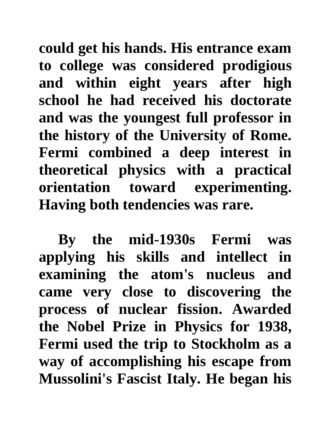**could get his hands. His entrance exam to college was considered prodigious and within eight years after high school he had received his doctorate and was the youngest full professor in the history of the University of Rome. Fermi combined a deep interest in theoretical physics with a practical orientation toward experimenting. Having both tendencies was rare.** 

**By the mid-1930s Fermi was applying his skills and intellect in examining the atom's nucleus and came very close to discovering the process of nuclear fission. Awarded the Nobel Prize in Physics for 1938, Fermi used the trip to Stockholm as a way of accomplishing his escape from Mussolini's Fascist Italy. He began his**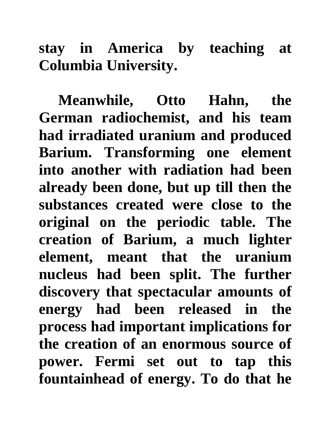**stay in America by teaching at Columbia University.**

**Meanwhile, Otto Hahn, the German radiochemist, and his team had irradiated uranium and produced Barium. Transforming one element into another with radiation had been already been done, but up till then the substances created were close to the original on the periodic table. The creation of Barium, a much lighter element, meant that the uranium nucleus had been split. The further discovery that spectacular amounts of energy had been released in the process had important implications for the creation of an enormous source of power. Fermi set out to tap this fountainhead of energy. To do that he**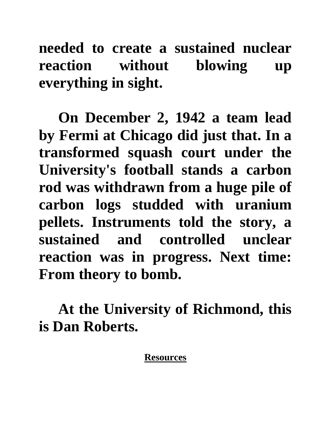**needed to create a sustained nuclear reaction without blowing up everything in sight.**

**On December 2, 1942 a team lead by Fermi at Chicago did just that. In a transformed squash court under the University's football stands a carbon rod was withdrawn from a huge pile of carbon logs studded with uranium pellets. Instruments told the story, a sustained and controlled unclear reaction was in progress. Next time: From theory to bomb.**

**At the University of Richmond, this is Dan Roberts.**

## **Resources**